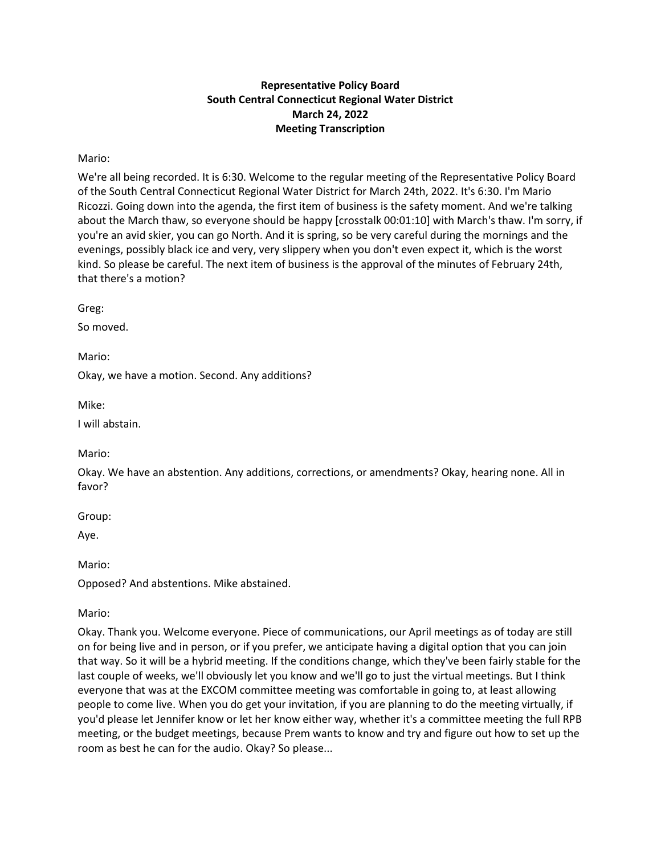# **Representative Policy Board South Central Connecticut Regional Water District March 24, 2022 Meeting Transcription**

# Mario:

We're all being recorded. It is 6:30. Welcome to the regular meeting of the Representative Policy Board of the South Central Connecticut Regional Water District for March 24th, 2022. It's 6:30. I'm Mario Ricozzi. Going down into the agenda, the first item of business is the safety moment. And we're talking about the March thaw, so everyone should be happy [crosstalk 00:01:10] with March's thaw. I'm sorry, if you're an avid skier, you can go North. And it is spring, so be very careful during the mornings and the evenings, possibly black ice and very, very slippery when you don't even expect it, which is the worst kind. So please be careful. The next item of business is the approval of the minutes of February 24th, that there's a motion?

Greg:

So moved.

Mario:

Okay, we have a motion. Second. Any additions?

Mike:

I will abstain.

Mario:

Okay. We have an abstention. Any additions, corrections, or amendments? Okay, hearing none. All in favor?

Group:

Aye.

Mario:

Opposed? And abstentions. Mike abstained.

Mario:

Okay. Thank you. Welcome everyone. Piece of communications, our April meetings as of today are still on for being live and in person, or if you prefer, we anticipate having a digital option that you can join that way. So it will be a hybrid meeting. If the conditions change, which they've been fairly stable for the last couple of weeks, we'll obviously let you know and we'll go to just the virtual meetings. But I think everyone that was at the EXCOM committee meeting was comfortable in going to, at least allowing people to come live. When you do get your invitation, if you are planning to do the meeting virtually, if you'd please let Jennifer know or let her know either way, whether it's a committee meeting the full RPB meeting, or the budget meetings, because Prem wants to know and try and figure out how to set up the room as best he can for the audio. Okay? So please...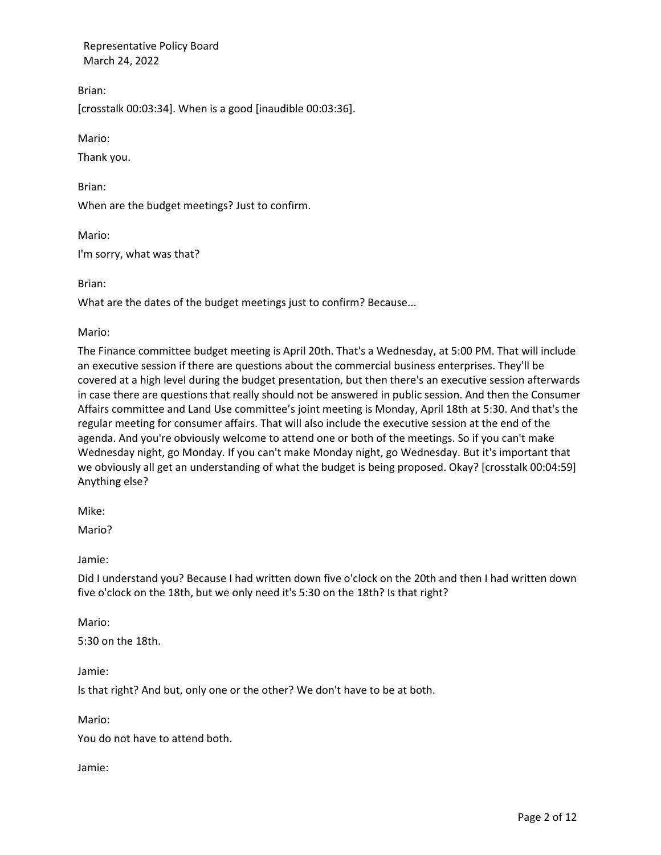Brian:

[crosstalk 00:03:34]. When is a good [inaudible 00:03:36].

Mario:

Thank you.

Brian:

When are the budget meetings? Just to confirm.

Mario: I'm sorry, what was that?

Brian:

What are the dates of the budget meetings just to confirm? Because...

Mario:

The Finance committee budget meeting is April 20th. That's a Wednesday, at 5:00 PM. That will include an executive session if there are questions about the commercial business enterprises. They'll be covered at a high level during the budget presentation, but then there's an executive session afterwards in case there are questions that really should not be answered in public session. And then the Consumer Affairs committee and Land Use committee's joint meeting is Monday, April 18th at 5:30. And that's the regular meeting for consumer affairs. That will also include the executive session at the end of the agenda. And you're obviously welcome to attend one or both of the meetings. So if you can't make Wednesday night, go Monday. If you can't make Monday night, go Wednesday. But it's important that we obviously all get an understanding of what the budget is being proposed. Okay? [crosstalk 00:04:59] Anything else?

Mike:

Mario?

Jamie:

Did I understand you? Because I had written down five o'clock on the 20th and then I had written down five o'clock on the 18th, but we only need it's 5:30 on the 18th? Is that right?

Mario:

5:30 on the 18th.

Jamie:

Is that right? And but, only one or the other? We don't have to be at both.

Mario:

You do not have to attend both.

Jamie: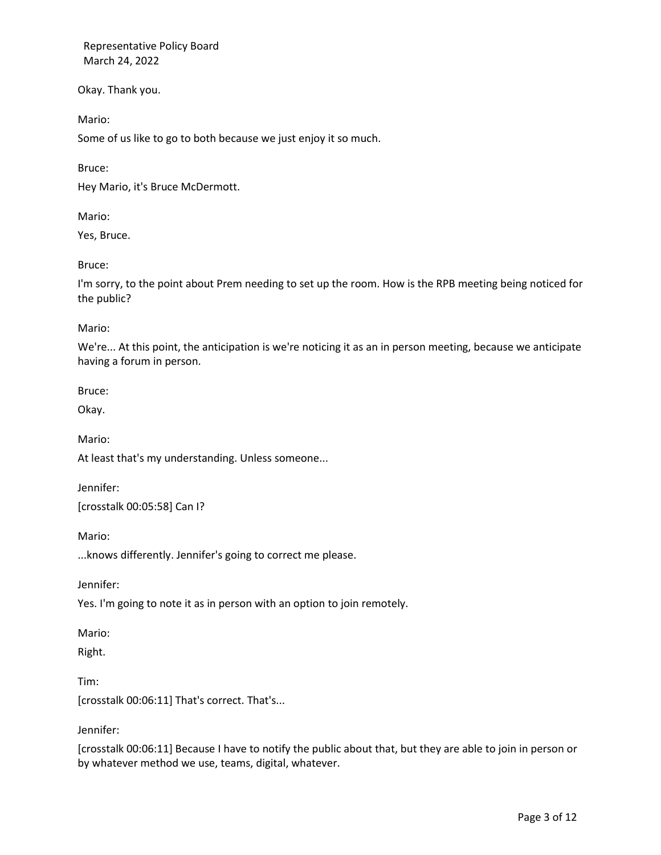Okay. Thank you.

Mario:

Some of us like to go to both because we just enjoy it so much.

Bruce:

Hey Mario, it's Bruce McDermott.

Mario:

Yes, Bruce.

Bruce:

I'm sorry, to the point about Prem needing to set up the room. How is the RPB meeting being noticed for the public?

Mario:

We're... At this point, the anticipation is we're noticing it as an in person meeting, because we anticipate having a forum in person.

Bruce:

Okay.

Mario:

At least that's my understanding. Unless someone...

Jennifer:

[crosstalk 00:05:58] Can I?

Mario:

...knows differently. Jennifer's going to correct me please.

Jennifer:

Yes. I'm going to note it as in person with an option to join remotely.

Mario:

Right.

Tim: [crosstalk 00:06:11] That's correct. That's...

Jennifer:

[crosstalk 00:06:11] Because I have to notify the public about that, but they are able to join in person or by whatever method we use, teams, digital, whatever.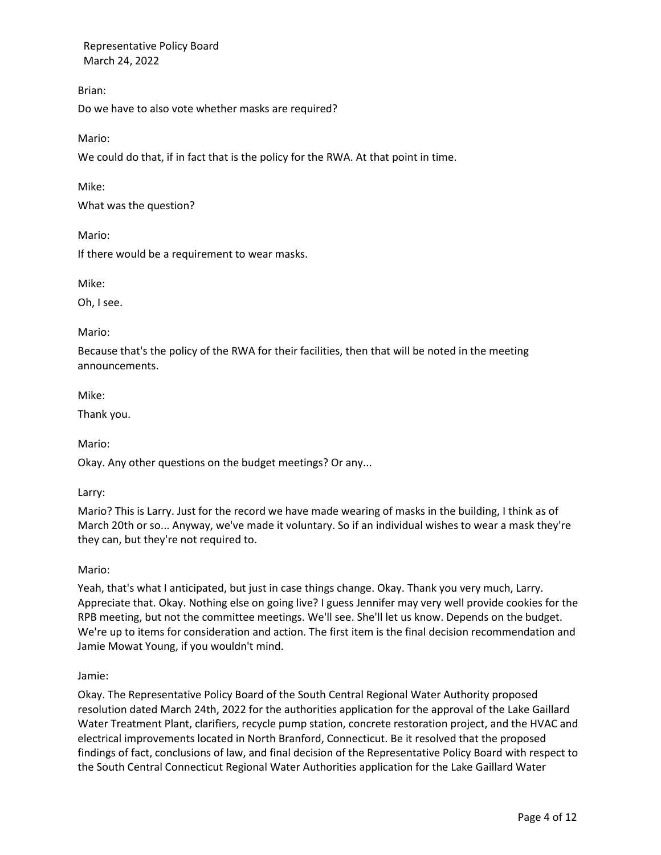Brian:

Do we have to also vote whether masks are required?

Mario:

We could do that, if in fact that is the policy for the RWA. At that point in time.

Mike:

What was the question?

Mario:

If there would be a requirement to wear masks.

Mike:

Oh, I see.

### Mario:

Because that's the policy of the RWA for their facilities, then that will be noted in the meeting announcements.

Mike:

Thank you.

Mario:

Okay. Any other questions on the budget meetings? Or any...

#### Larry:

Mario? This is Larry. Just for the record we have made wearing of masks in the building, I think as of March 20th or so... Anyway, we've made it voluntary. So if an individual wishes to wear a mask they're they can, but they're not required to.

#### Mario:

Yeah, that's what I anticipated, but just in case things change. Okay. Thank you very much, Larry. Appreciate that. Okay. Nothing else on going live? I guess Jennifer may very well provide cookies for the RPB meeting, but not the committee meetings. We'll see. She'll let us know. Depends on the budget. We're up to items for consideration and action. The first item is the final decision recommendation and Jamie Mowat Young, if you wouldn't mind.

#### Jamie:

Okay. The Representative Policy Board of the South Central Regional Water Authority proposed resolution dated March 24th, 2022 for the authorities application for the approval of the Lake Gaillard Water Treatment Plant, clarifiers, recycle pump station, concrete restoration project, and the HVAC and electrical improvements located in North Branford, Connecticut. Be it resolved that the proposed findings of fact, conclusions of law, and final decision of the Representative Policy Board with respect to the South Central Connecticut Regional Water Authorities application for the Lake Gaillard Water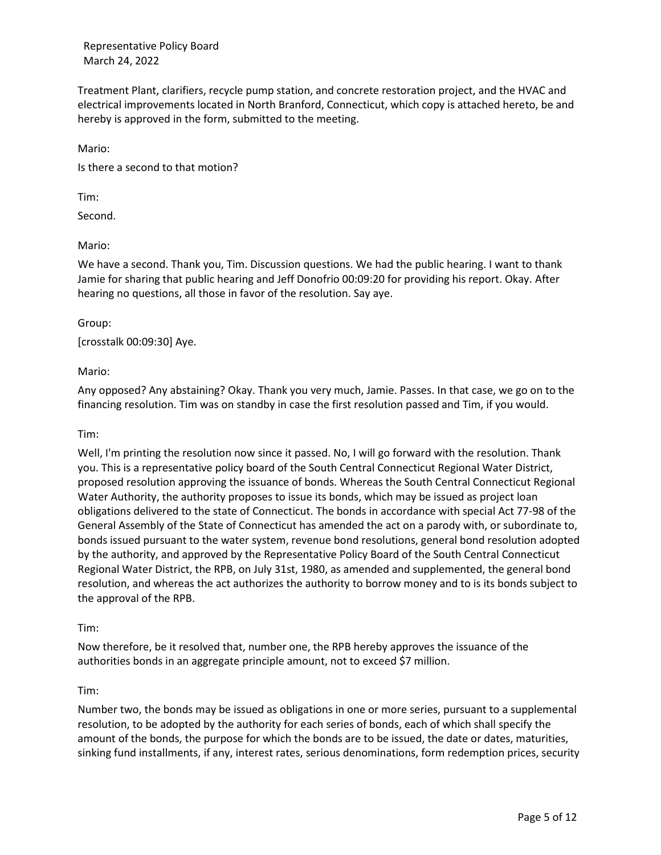Treatment Plant, clarifiers, recycle pump station, and concrete restoration project, and the HVAC and electrical improvements located in North Branford, Connecticut, which copy is attached hereto, be and hereby is approved in the form, submitted to the meeting.

Mario:

Is there a second to that motion?

Tim:

Second.

### Mario:

We have a second. Thank you, Tim. Discussion questions. We had the public hearing. I want to thank Jamie for sharing that public hearing and Jeff Donofrio 00:09:20 for providing his report. Okay. After hearing no questions, all those in favor of the resolution. Say aye.

### Group:

[crosstalk 00:09:30] Aye.

### Mario:

Any opposed? Any abstaining? Okay. Thank you very much, Jamie. Passes. In that case, we go on to the financing resolution. Tim was on standby in case the first resolution passed and Tim, if you would.

#### Tim:

Well, I'm printing the resolution now since it passed. No, I will go forward with the resolution. Thank you. This is a representative policy board of the South Central Connecticut Regional Water District, proposed resolution approving the issuance of bonds. Whereas the South Central Connecticut Regional Water Authority, the authority proposes to issue its bonds, which may be issued as project loan obligations delivered to the state of Connecticut. The bonds in accordance with special Act 77-98 of the General Assembly of the State of Connecticut has amended the act on a parody with, or subordinate to, bonds issued pursuant to the water system, revenue bond resolutions, general bond resolution adopted by the authority, and approved by the Representative Policy Board of the South Central Connecticut Regional Water District, the RPB, on July 31st, 1980, as amended and supplemented, the general bond resolution, and whereas the act authorizes the authority to borrow money and to is its bonds subject to the approval of the RPB.

#### Tim:

Now therefore, be it resolved that, number one, the RPB hereby approves the issuance of the authorities bonds in an aggregate principle amount, not to exceed \$7 million.

#### Tim:

Number two, the bonds may be issued as obligations in one or more series, pursuant to a supplemental resolution, to be adopted by the authority for each series of bonds, each of which shall specify the amount of the bonds, the purpose for which the bonds are to be issued, the date or dates, maturities, sinking fund installments, if any, interest rates, serious denominations, form redemption prices, security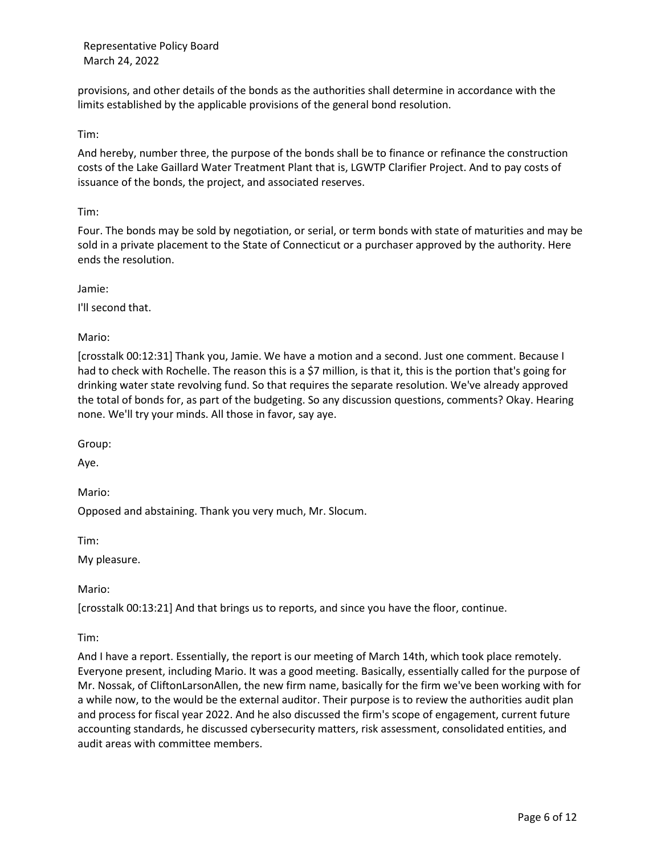provisions, and other details of the bonds as the authorities shall determine in accordance with the limits established by the applicable provisions of the general bond resolution.

### Tim:

And hereby, number three, the purpose of the bonds shall be to finance or refinance the construction costs of the Lake Gaillard Water Treatment Plant that is, LGWTP Clarifier Project. And to pay costs of issuance of the bonds, the project, and associated reserves.

### Tim:

Four. The bonds may be sold by negotiation, or serial, or term bonds with state of maturities and may be sold in a private placement to the State of Connecticut or a purchaser approved by the authority. Here ends the resolution.

Jamie:

I'll second that.

Mario:

[crosstalk 00:12:31] Thank you, Jamie. We have a motion and a second. Just one comment. Because I had to check with Rochelle. The reason this is a \$7 million, is that it, this is the portion that's going for drinking water state revolving fund. So that requires the separate resolution. We've already approved the total of bonds for, as part of the budgeting. So any discussion questions, comments? Okay. Hearing none. We'll try your minds. All those in favor, say aye.

Group:

Aye.

Mario:

Opposed and abstaining. Thank you very much, Mr. Slocum.

Tim:

My pleasure.

Mario:

[crosstalk 00:13:21] And that brings us to reports, and since you have the floor, continue.

Tim:

And I have a report. Essentially, the report is our meeting of March 14th, which took place remotely. Everyone present, including Mario. It was a good meeting. Basically, essentially called for the purpose of Mr. Nossak, of CliftonLarsonAllen, the new firm name, basically for the firm we've been working with for a while now, to the would be the external auditor. Their purpose is to review the authorities audit plan and process for fiscal year 2022. And he also discussed the firm's scope of engagement, current future accounting standards, he discussed cybersecurity matters, risk assessment, consolidated entities, and audit areas with committee members.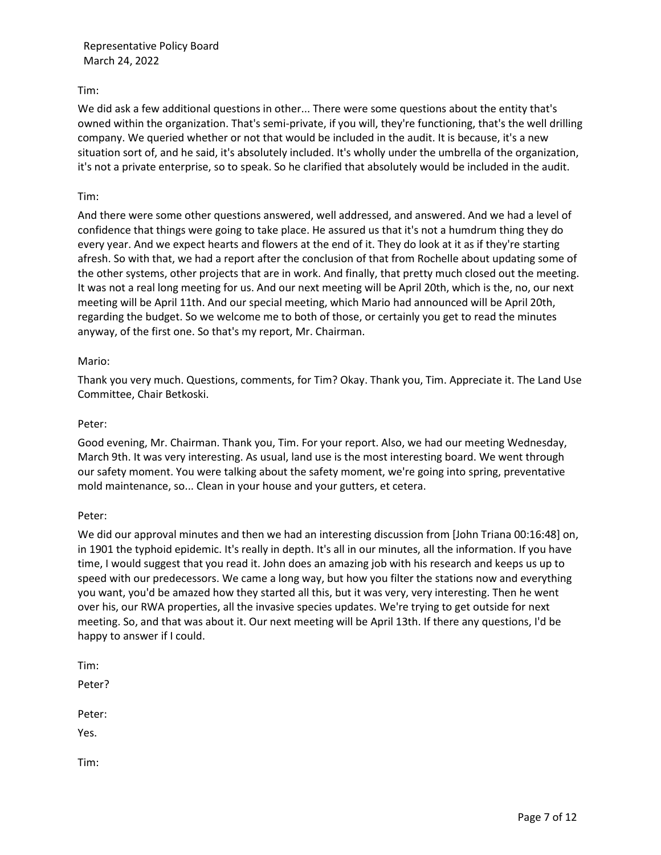# Tim:

We did ask a few additional questions in other... There were some questions about the entity that's owned within the organization. That's semi-private, if you will, they're functioning, that's the well drilling company. We queried whether or not that would be included in the audit. It is because, it's a new situation sort of, and he said, it's absolutely included. It's wholly under the umbrella of the organization, it's not a private enterprise, so to speak. So he clarified that absolutely would be included in the audit.

# Tim:

And there were some other questions answered, well addressed, and answered. And we had a level of confidence that things were going to take place. He assured us that it's not a humdrum thing they do every year. And we expect hearts and flowers at the end of it. They do look at it as if they're starting afresh. So with that, we had a report after the conclusion of that from Rochelle about updating some of the other systems, other projects that are in work. And finally, that pretty much closed out the meeting. It was not a real long meeting for us. And our next meeting will be April 20th, which is the, no, our next meeting will be April 11th. And our special meeting, which Mario had announced will be April 20th, regarding the budget. So we welcome me to both of those, or certainly you get to read the minutes anyway, of the first one. So that's my report, Mr. Chairman.

# Mario:

Thank you very much. Questions, comments, for Tim? Okay. Thank you, Tim. Appreciate it. The Land Use Committee, Chair Betkoski.

# Peter:

Good evening, Mr. Chairman. Thank you, Tim. For your report. Also, we had our meeting Wednesday, March 9th. It was very interesting. As usual, land use is the most interesting board. We went through our safety moment. You were talking about the safety moment, we're going into spring, preventative mold maintenance, so... Clean in your house and your gutters, et cetera.

# Peter:

We did our approval minutes and then we had an interesting discussion from [John Triana 00:16:48] on, in 1901 the typhoid epidemic. It's really in depth. It's all in our minutes, all the information. If you have time, I would suggest that you read it. John does an amazing job with his research and keeps us up to speed with our predecessors. We came a long way, but how you filter the stations now and everything you want, you'd be amazed how they started all this, but it was very, very interesting. Then he went over his, our RWA properties, all the invasive species updates. We're trying to get outside for next meeting. So, and that was about it. Our next meeting will be April 13th. If there any questions, I'd be happy to answer if I could.

Tim:

Peter?

Peter:

Yes.

Tim: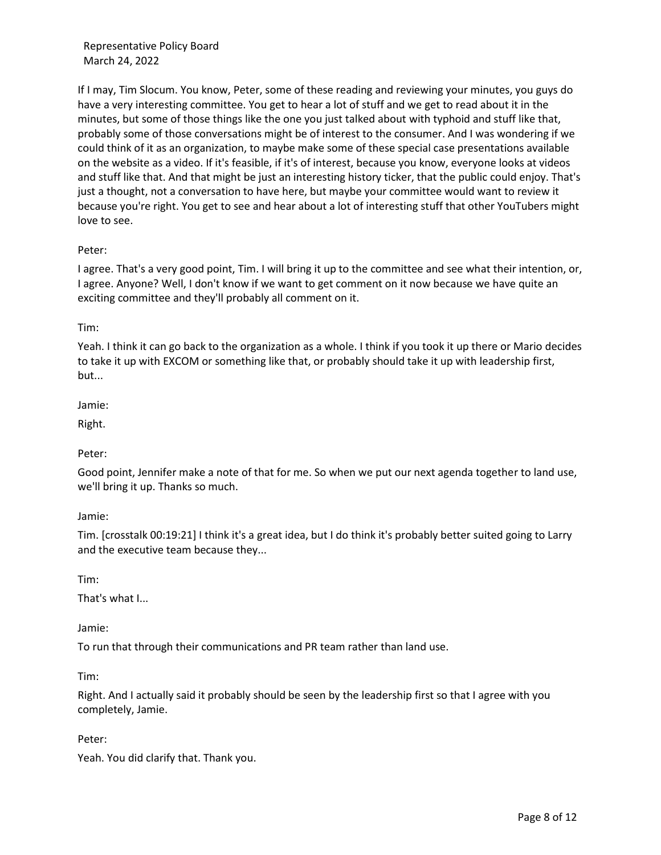If I may, Tim Slocum. You know, Peter, some of these reading and reviewing your minutes, you guys do have a very interesting committee. You get to hear a lot of stuff and we get to read about it in the minutes, but some of those things like the one you just talked about with typhoid and stuff like that, probably some of those conversations might be of interest to the consumer. And I was wondering if we could think of it as an organization, to maybe make some of these special case presentations available on the website as a video. If it's feasible, if it's of interest, because you know, everyone looks at videos and stuff like that. And that might be just an interesting history ticker, that the public could enjoy. That's just a thought, not a conversation to have here, but maybe your committee would want to review it because you're right. You get to see and hear about a lot of interesting stuff that other YouTubers might love to see.

# Peter:

I agree. That's a very good point, Tim. I will bring it up to the committee and see what their intention, or, I agree. Anyone? Well, I don't know if we want to get comment on it now because we have quite an exciting committee and they'll probably all comment on it.

# Tim:

Yeah. I think it can go back to the organization as a whole. I think if you took it up there or Mario decides to take it up with EXCOM or something like that, or probably should take it up with leadership first, but...

# Jamie:

Right.

# Peter:

Good point, Jennifer make a note of that for me. So when we put our next agenda together to land use, we'll bring it up. Thanks so much.

# Jamie:

Tim. [crosstalk 00:19:21] I think it's a great idea, but I do think it's probably better suited going to Larry and the executive team because they...

Tim:

That's what I...

Jamie:

To run that through their communications and PR team rather than land use.

Tim:

Right. And I actually said it probably should be seen by the leadership first so that I agree with you completely, Jamie.

Peter:

Yeah. You did clarify that. Thank you.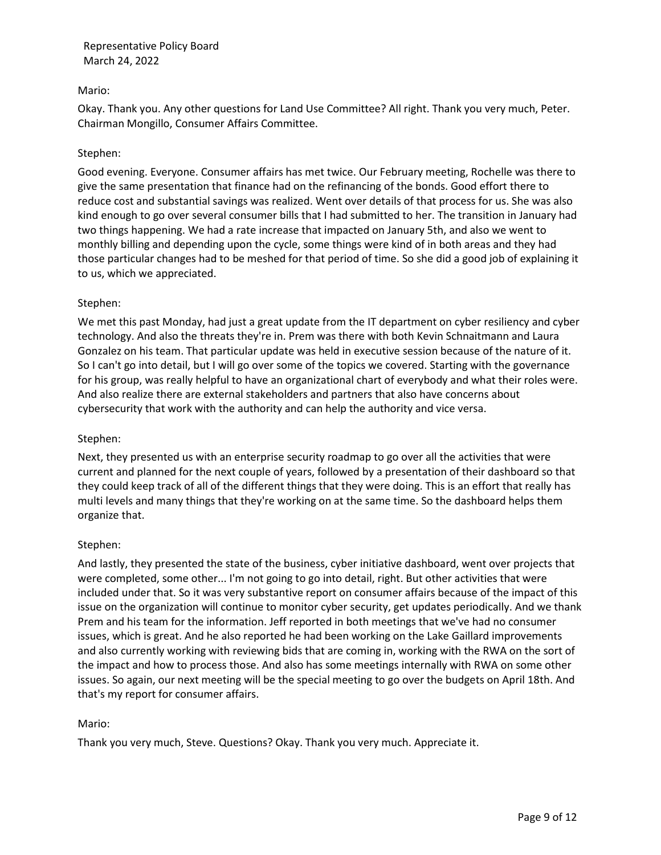### Mario:

Okay. Thank you. Any other questions for Land Use Committee? All right. Thank you very much, Peter. Chairman Mongillo, Consumer Affairs Committee.

#### Stephen:

Good evening. Everyone. Consumer affairs has met twice. Our February meeting, Rochelle was there to give the same presentation that finance had on the refinancing of the bonds. Good effort there to reduce cost and substantial savings was realized. Went over details of that process for us. She was also kind enough to go over several consumer bills that I had submitted to her. The transition in January had two things happening. We had a rate increase that impacted on January 5th, and also we went to monthly billing and depending upon the cycle, some things were kind of in both areas and they had those particular changes had to be meshed for that period of time. So she did a good job of explaining it to us, which we appreciated.

### Stephen:

We met this past Monday, had just a great update from the IT department on cyber resiliency and cyber technology. And also the threats they're in. Prem was there with both Kevin Schnaitmann and Laura Gonzalez on his team. That particular update was held in executive session because of the nature of it. So I can't go into detail, but I will go over some of the topics we covered. Starting with the governance for his group, was really helpful to have an organizational chart of everybody and what their roles were. And also realize there are external stakeholders and partners that also have concerns about cybersecurity that work with the authority and can help the authority and vice versa.

#### Stephen:

Next, they presented us with an enterprise security roadmap to go over all the activities that were current and planned for the next couple of years, followed by a presentation of their dashboard so that they could keep track of all of the different things that they were doing. This is an effort that really has multi levels and many things that they're working on at the same time. So the dashboard helps them organize that.

#### Stephen:

And lastly, they presented the state of the business, cyber initiative dashboard, went over projects that were completed, some other... I'm not going to go into detail, right. But other activities that were included under that. So it was very substantive report on consumer affairs because of the impact of this issue on the organization will continue to monitor cyber security, get updates periodically. And we thank Prem and his team for the information. Jeff reported in both meetings that we've had no consumer issues, which is great. And he also reported he had been working on the Lake Gaillard improvements and also currently working with reviewing bids that are coming in, working with the RWA on the sort of the impact and how to process those. And also has some meetings internally with RWA on some other issues. So again, our next meeting will be the special meeting to go over the budgets on April 18th. And that's my report for consumer affairs.

#### Mario:

Thank you very much, Steve. Questions? Okay. Thank you very much. Appreciate it.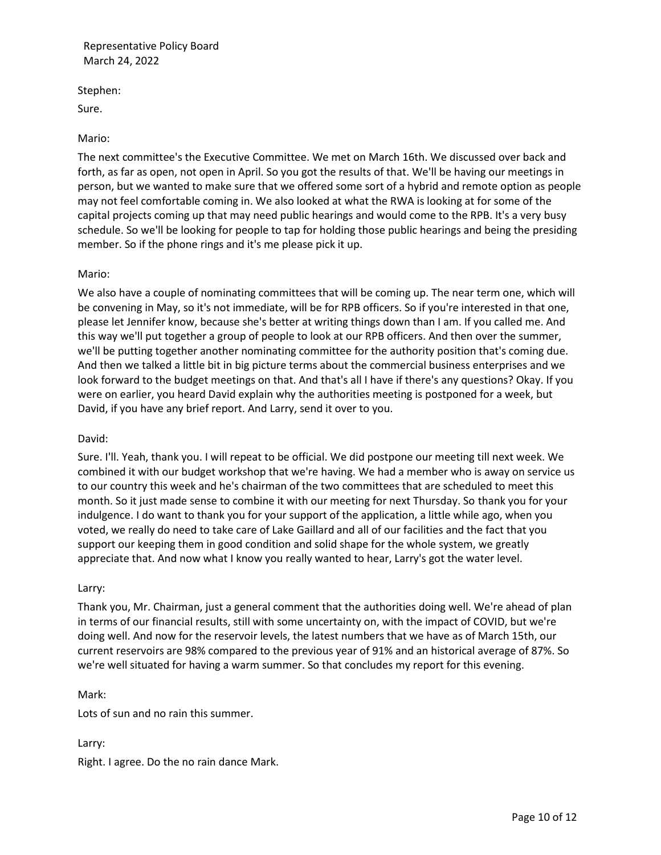Stephen:

Sure.

# Mario:

The next committee's the Executive Committee. We met on March 16th. We discussed over back and forth, as far as open, not open in April. So you got the results of that. We'll be having our meetings in person, but we wanted to make sure that we offered some sort of a hybrid and remote option as people may not feel comfortable coming in. We also looked at what the RWA is looking at for some of the capital projects coming up that may need public hearings and would come to the RPB. It's a very busy schedule. So we'll be looking for people to tap for holding those public hearings and being the presiding member. So if the phone rings and it's me please pick it up.

### Mario:

We also have a couple of nominating committees that will be coming up. The near term one, which will be convening in May, so it's not immediate, will be for RPB officers. So if you're interested in that one, please let Jennifer know, because she's better at writing things down than I am. If you called me. And this way we'll put together a group of people to look at our RPB officers. And then over the summer, we'll be putting together another nominating committee for the authority position that's coming due. And then we talked a little bit in big picture terms about the commercial business enterprises and we look forward to the budget meetings on that. And that's all I have if there's any questions? Okay. If you were on earlier, you heard David explain why the authorities meeting is postponed for a week, but David, if you have any brief report. And Larry, send it over to you.

#### David:

Sure. I'll. Yeah, thank you. I will repeat to be official. We did postpone our meeting till next week. We combined it with our budget workshop that we're having. We had a member who is away on service us to our country this week and he's chairman of the two committees that are scheduled to meet this month. So it just made sense to combine it with our meeting for next Thursday. So thank you for your indulgence. I do want to thank you for your support of the application, a little while ago, when you voted, we really do need to take care of Lake Gaillard and all of our facilities and the fact that you support our keeping them in good condition and solid shape for the whole system, we greatly appreciate that. And now what I know you really wanted to hear, Larry's got the water level.

#### Larry:

Thank you, Mr. Chairman, just a general comment that the authorities doing well. We're ahead of plan in terms of our financial results, still with some uncertainty on, with the impact of COVID, but we're doing well. And now for the reservoir levels, the latest numbers that we have as of March 15th, our current reservoirs are 98% compared to the previous year of 91% and an historical average of 87%. So we're well situated for having a warm summer. So that concludes my report for this evening.

# Mark:

Lots of sun and no rain this summer.

# Larry:

Right. I agree. Do the no rain dance Mark.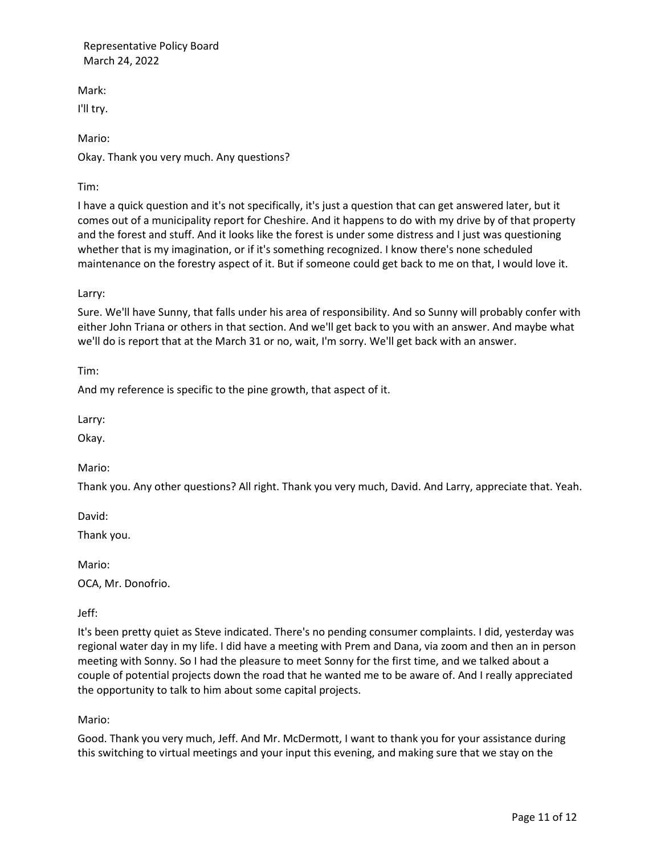Mark:

I'll try.

Mario: Okay. Thank you very much. Any questions?

Tim:

I have a quick question and it's not specifically, it's just a question that can get answered later, but it comes out of a municipality report for Cheshire. And it happens to do with my drive by of that property and the forest and stuff. And it looks like the forest is under some distress and I just was questioning whether that is my imagination, or if it's something recognized. I know there's none scheduled maintenance on the forestry aspect of it. But if someone could get back to me on that, I would love it.

Larry:

Sure. We'll have Sunny, that falls under his area of responsibility. And so Sunny will probably confer with either John Triana or others in that section. And we'll get back to you with an answer. And maybe what we'll do is report that at the March 31 or no, wait, I'm sorry. We'll get back with an answer.

Tim:

And my reference is specific to the pine growth, that aspect of it.

Larry:

Okay.

Mario:

Thank you. Any other questions? All right. Thank you very much, David. And Larry, appreciate that. Yeah.

David:

Thank you.

Mario:

OCA, Mr. Donofrio.

Jeff:

It's been pretty quiet as Steve indicated. There's no pending consumer complaints. I did, yesterday was regional water day in my life. I did have a meeting with Prem and Dana, via zoom and then an in person meeting with Sonny. So I had the pleasure to meet Sonny for the first time, and we talked about a couple of potential projects down the road that he wanted me to be aware of. And I really appreciated the opportunity to talk to him about some capital projects.

Mario:

Good. Thank you very much, Jeff. And Mr. McDermott, I want to thank you for your assistance during this switching to virtual meetings and your input this evening, and making sure that we stay on the